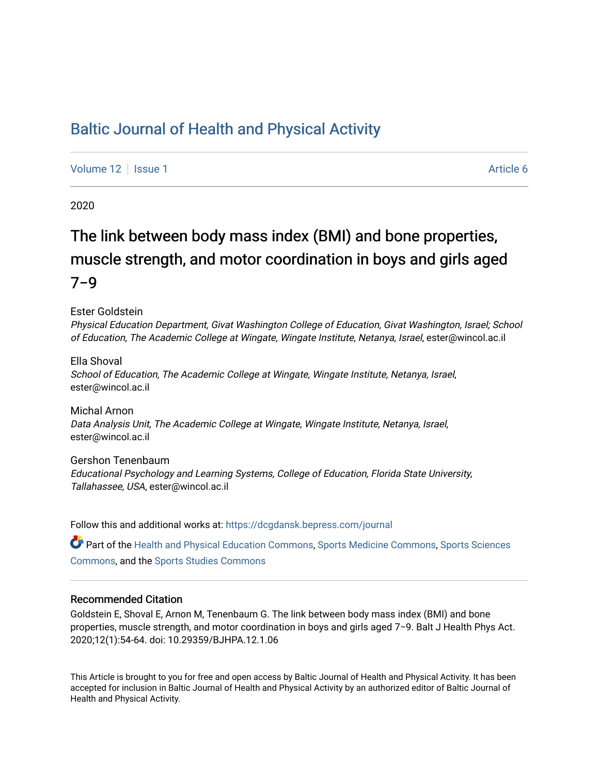## [Baltic Journal of Health and Physical Activity](https://dcgdansk.bepress.com/journal)

[Volume 12](https://dcgdansk.bepress.com/journal/vol12) | [Issue 1](https://dcgdansk.bepress.com/journal/vol12/iss1) Article 6

2020

# The link between body mass index (BMI) and bone properties, muscle strength, and motor coordination in boys and girls aged 7−9

Ester Goldstein

Physical Education Department, Givat Washington College of Education, Givat Washington, Israel; School of Education, The Academic College at Wingate, Wingate Institute, Netanya, Israel, ester@wincol.ac.il

Ella Shoval School of Education, The Academic College at Wingate, Wingate Institute, Netanya, Israel, ester@wincol.ac.il

Michal Arnon Data Analysis Unit, The Academic College at Wingate, Wingate Institute, Netanya, Israel, ester@wincol.ac.il

Gershon Tenenbaum Educational Psychology and Learning Systems, College of Education, Florida State University, Tallahassee, USA, ester@wincol.ac.il

Follow this and additional works at: [https://dcgdansk.bepress.com/journal](https://dcgdansk.bepress.com/journal?utm_source=dcgdansk.bepress.com%2Fjournal%2Fvol12%2Fiss1%2F6&utm_medium=PDF&utm_campaign=PDFCoverPages)

Part of the [Health and Physical Education Commons](http://network.bepress.com/hgg/discipline/1327?utm_source=dcgdansk.bepress.com%2Fjournal%2Fvol12%2Fiss1%2F6&utm_medium=PDF&utm_campaign=PDFCoverPages), [Sports Medicine Commons,](http://network.bepress.com/hgg/discipline/1331?utm_source=dcgdansk.bepress.com%2Fjournal%2Fvol12%2Fiss1%2F6&utm_medium=PDF&utm_campaign=PDFCoverPages) [Sports Sciences](http://network.bepress.com/hgg/discipline/759?utm_source=dcgdansk.bepress.com%2Fjournal%2Fvol12%2Fiss1%2F6&utm_medium=PDF&utm_campaign=PDFCoverPages) [Commons](http://network.bepress.com/hgg/discipline/759?utm_source=dcgdansk.bepress.com%2Fjournal%2Fvol12%2Fiss1%2F6&utm_medium=PDF&utm_campaign=PDFCoverPages), and the [Sports Studies Commons](http://network.bepress.com/hgg/discipline/1198?utm_source=dcgdansk.bepress.com%2Fjournal%2Fvol12%2Fiss1%2F6&utm_medium=PDF&utm_campaign=PDFCoverPages) 

#### Recommended Citation

Goldstein E, Shoval E, Arnon M, Tenenbaum G. The link between body mass index (BMI) and bone properties, muscle strength, and motor coordination in boys and girls aged 7−9. Balt J Health Phys Act. 2020;12(1):54-64. doi: 10.29359/BJHPA.12.1.06

This Article is brought to you for free and open access by Baltic Journal of Health and Physical Activity. It has been accepted for inclusion in Baltic Journal of Health and Physical Activity by an authorized editor of Baltic Journal of Health and Physical Activity.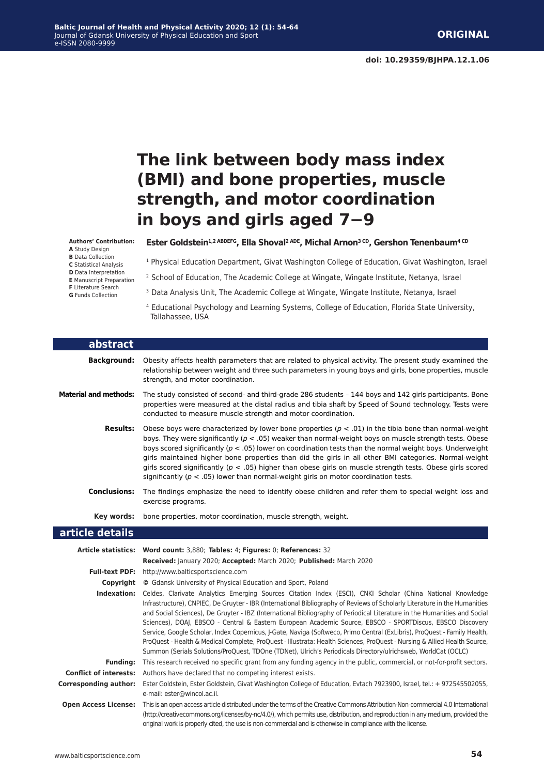## **The link between body mass index (BMI) and bone properties, muscle strength, and motor coordination in boys and girls aged 7−9**

**Authors' Contribution: A** Study Design **B** Data Collection

**C** Statistical Analysis **D** Data Interpretation

**E** Manuscript Preparation

- **F** Literature Search
- **G** Funds Collection

Г

<sup>1</sup> Physical Education Department, Givat Washington College of Education, Givat Washington, Israel

Ester Goldstein<sup>1,2 ABDEFG</sup>, Ella Shoval<sup>2 ADE</sup>, Michal Arnon<sup>3 CD</sup>, Gershon Tenenbaum<sup>4 CD</sup>

- <sup>2</sup> School of Education, The Academic College at Wingate, Wingate Institute, Netanya, Israel
- <sup>3</sup> Data Analysis Unit, The Academic College at Wingate, Wingate Institute, Netanya, Israel
- 4 Educational Psychology and Learning Systems, College of Education, Florida State University, Tallahassee, USA

| abstract                      |                                                                                                                                                                                                                                                                                                                                                                                                                                                                                                                                                                                                                                                                                                                                                                                                                                                                       |
|-------------------------------|-----------------------------------------------------------------------------------------------------------------------------------------------------------------------------------------------------------------------------------------------------------------------------------------------------------------------------------------------------------------------------------------------------------------------------------------------------------------------------------------------------------------------------------------------------------------------------------------------------------------------------------------------------------------------------------------------------------------------------------------------------------------------------------------------------------------------------------------------------------------------|
| <b>Background:</b>            | Obesity affects health parameters that are related to physical activity. The present study examined the<br>relationship between weight and three such parameters in young boys and girls, bone properties, muscle<br>strength, and motor coordination.                                                                                                                                                                                                                                                                                                                                                                                                                                                                                                                                                                                                                |
| <b>Material and methods:</b>  | The study consisted of second- and third-grade 286 students - 144 boys and 142 girls participants. Bone<br>properties were measured at the distal radius and tibia shaft by Speed of Sound technology. Tests were<br>conducted to measure muscle strength and motor coordination.                                                                                                                                                                                                                                                                                                                                                                                                                                                                                                                                                                                     |
| <b>Results:</b>               | Obese boys were characterized by lower bone properties ( $p < .01$ ) in the tibia bone than normal-weight<br>boys. They were significantly ( $p < .05$ ) weaker than normal-weight boys on muscle strength tests. Obese<br>boys scored significantly ( $p < .05$ ) lower on coordination tests than the normal weight boys. Underweight<br>girls maintained higher bone properties than did the girls in all other BMI categories. Normal-weight<br>girls scored significantly ( $p < .05$ ) higher than obese girls on muscle strength tests. Obese girls scored<br>significantly ( $p < .05$ ) lower than normal-weight girls on motor coordination tests.                                                                                                                                                                                                          |
| <b>Conclusions:</b>           | The findings emphasize the need to identify obese children and refer them to special weight loss and<br>exercise programs.                                                                                                                                                                                                                                                                                                                                                                                                                                                                                                                                                                                                                                                                                                                                            |
| Key words:                    | bone properties, motor coordination, muscle strength, weight.                                                                                                                                                                                                                                                                                                                                                                                                                                                                                                                                                                                                                                                                                                                                                                                                         |
| article details               |                                                                                                                                                                                                                                                                                                                                                                                                                                                                                                                                                                                                                                                                                                                                                                                                                                                                       |
|                               | Article statistics: Word count: 3,880; Tables: 4; Figures: 0; References: 32                                                                                                                                                                                                                                                                                                                                                                                                                                                                                                                                                                                                                                                                                                                                                                                          |
|                               | Received: January 2020; Accepted: March 2020; Published: March 2020                                                                                                                                                                                                                                                                                                                                                                                                                                                                                                                                                                                                                                                                                                                                                                                                   |
|                               | Full-text PDF: http://www.balticsportscience.com                                                                                                                                                                                                                                                                                                                                                                                                                                                                                                                                                                                                                                                                                                                                                                                                                      |
|                               | <b>Copyright</b> © Gdansk University of Physical Education and Sport, Poland                                                                                                                                                                                                                                                                                                                                                                                                                                                                                                                                                                                                                                                                                                                                                                                          |
|                               | Indexation: Celdes, Clarivate Analytics Emerging Sources Citation Index (ESCI), CNKI Scholar (China National Knowledge<br>Infrastructure), CNPIEC, De Gruyter - IBR (International Bibliography of Reviews of Scholarly Literature in the Humanities<br>and Social Sciences), De Gruyter - IBZ (International Bibliography of Periodical Literature in the Humanities and Social<br>Sciences), DOAJ, EBSCO - Central & Eastern European Academic Source, EBSCO - SPORTDiscus, EBSCO Discovery<br>Service, Google Scholar, Index Copemicus, J-Gate, Naviga (Softweco, Primo Central (ExLibris), ProQuest - Family Health,<br>ProQuest - Health & Medical Complete, ProQuest - Illustrata: Health Sciences, ProQuest - Nursing & Allied Health Source,<br>Summon (Serials Solutions/ProQuest, TDOne (TDNet), Ulrich's Periodicals Directory/ulrichsweb, WorldCat (OCLC) |
| <b>Funding:</b>               | This research received no specific grant from any funding agency in the public, commercial, or not-for-profit sectors.                                                                                                                                                                                                                                                                                                                                                                                                                                                                                                                                                                                                                                                                                                                                                |
| <b>Conflict of interests:</b> | Authors have declared that no competing interest exists.                                                                                                                                                                                                                                                                                                                                                                                                                                                                                                                                                                                                                                                                                                                                                                                                              |
| <b>Corresponding author:</b>  | Ester Goldstein, Ester Goldstein, Givat Washington College of Education, Evtach 7923900, Israel, tel.: + 972545502055,<br>e-mail: ester@wincol.ac.il.                                                                                                                                                                                                                                                                                                                                                                                                                                                                                                                                                                                                                                                                                                                 |
| <b>Open Access License:</b>   | This is an open access article distributed under the terms of the Creative Commons Attribution-Non-commercial 4.0 International<br>(http://creativecommons.org/licenses/by-nc/4.0/), which permits use, distribution, and reproduction in any medium, provided the<br>original work is properly cited, the use is non-commercial and is otherwise in compliance with the license.                                                                                                                                                                                                                                                                                                                                                                                                                                                                                     |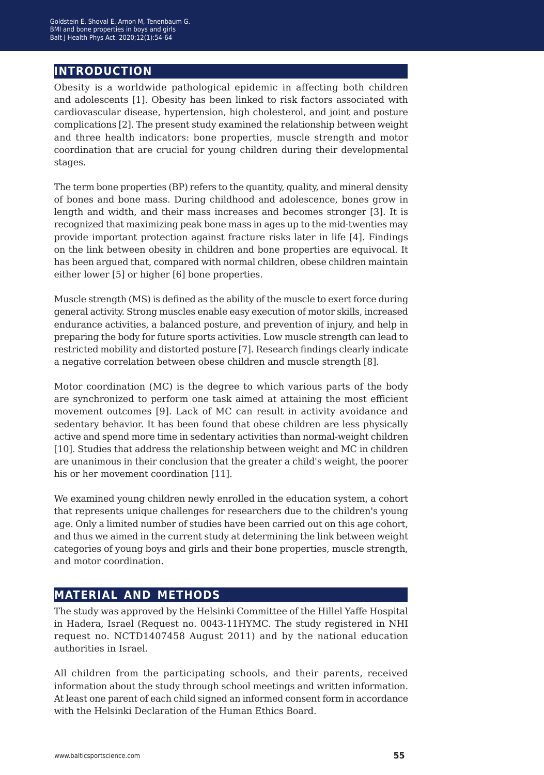## **introduction**

Obesity is a worldwide pathological epidemic in affecting both children and adolescents [1]. Obesity has been linked to risk factors associated with cardiovascular disease, hypertension, high cholesterol, and joint and posture complications [2]. The present study examined the relationship between weight and three health indicators: bone properties, muscle strength and motor coordination that are crucial for young children during their developmental stages.

The term bone properties (BP) refers to the quantity, quality, and mineral density of bones and bone mass. During childhood and adolescence, bones grow in length and width, and their mass increases and becomes stronger [3]. It is recognized that maximizing peak bone mass in ages up to the mid-twenties may provide important protection against fracture risks later in life [4]. Findings on the link between obesity in children and bone properties are equivocal. It has been argued that, compared with normal children, obese children maintain either lower [5] or higher [6] bone properties.

Muscle strength (MS) is defined as the ability of the muscle to exert force during general activity. Strong muscles enable easy execution of motor skills, increased endurance activities, a balanced posture, and prevention of injury, and help in preparing the body for future sports activities. Low muscle strength can lead to restricted mobility and distorted posture [7]. Research findings clearly indicate a negative correlation between obese children and muscle strength [8].

Motor coordination (MC) is the degree to which various parts of the body are synchronized to perform one task aimed at attaining the most efficient movement outcomes [9]. Lack of MC can result in activity avoidance and sedentary behavior. It has been found that obese children are less physically active and spend more time in sedentary activities than normal-weight children [10]. Studies that address the relationship between weight and MC in children are unanimous in their conclusion that the greater a child's weight, the poorer his or her movement coordination [11].

We examined young children newly enrolled in the education system, a cohort that represents unique challenges for researchers due to the children's young age. Only a limited number of studies have been carried out on this age cohort, and thus we aimed in the current study at determining the link between weight categories of young boys and girls and their bone properties, muscle strength, and motor coordination.

## **material and methods**

The study was approved by the Helsinki Committee of the Hillel Yaffe Hospital in Hadera, Israel (Request no. 0043-11HYMC. The study registered in NHI request no. NCTD1407458 August 2011) and by the national education authorities in Israel.

All children from the participating schools, and their parents, received information about the study through school meetings and written information. At least one parent of each child signed an informed consent form in accordance with the Helsinki Declaration of the Human Ethics Board.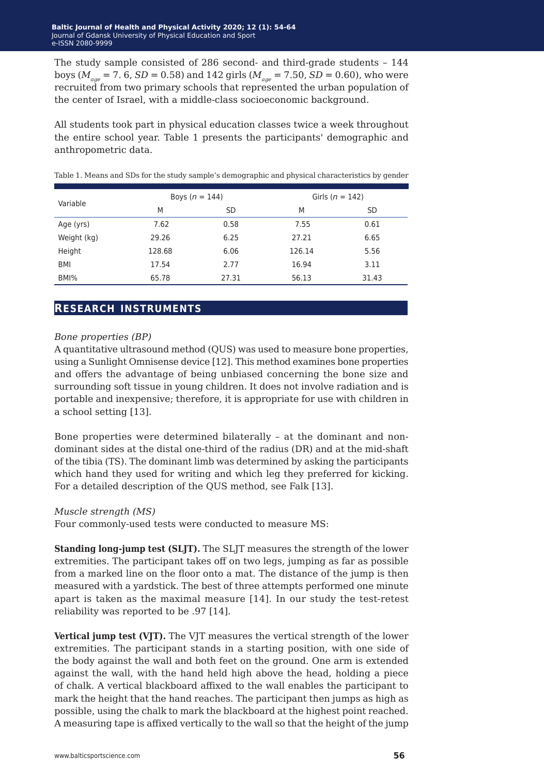The study sample consisted of 286 second- and third-grade students – 144 boys ( $M_{\text{age}} = 7.6$ ,  $SD = 0.58$ ) and 142 girls ( $M_{\text{age}} = 7.50$ ,  $SD = 0.60$ ), who were recruited from two primary schools that represented the urban population of the center of Israel, with a middle-class socioeconomic background.

All students took part in physical education classes twice a week throughout the entire school year. Table 1 presents the participants' demographic and anthropometric data.

| Variable             | Boys ( $n = 144$ ) |        | Girls ( $n = 142$ ) |  |  |
|----------------------|--------------------|--------|---------------------|--|--|
| M                    | SD                 | M      | SD                  |  |  |
| 7.62<br>Age (yrs)    | 0.58               | 7.55   | 0.61                |  |  |
| Weight (kg)<br>29.26 | 6.25               | 27.21  | 6.65                |  |  |
| Height<br>128.68     | 6.06               | 126.14 | 5.56                |  |  |
| 17.54<br><b>BMI</b>  | 2.77               | 16.94  | 3.11                |  |  |
| BMI%<br>65.78        | 27.31              | 56.13  | 31.43               |  |  |

Table 1. Means and SDs for the study sample's demographic and physical characteristics by gender

## **research instruments**

#### *Bone properties (BP)*

A quantitative ultrasound method (QUS) was used to measure bone properties, using a Sunlight Omnisense device [12]. This method examines bone properties and offers the advantage of being unbiased concerning the bone size and surrounding soft tissue in young children. It does not involve radiation and is portable and inexpensive; therefore, it is appropriate for use with children in a school setting [13].

Bone properties were determined bilaterally – at the dominant and nondominant sides at the distal one-third of the radius (DR) and at the mid-shaft of the tibia (TS). The dominant limb was determined by asking the participants which hand they used for writing and which leg they preferred for kicking. For a detailed description of the QUS method, see Falk [13].

#### *Muscle strength (MS)*

Four commonly-used tests were conducted to measure MS:

**Standing long-jump test (SLJT).** The SLJT measures the strength of the lower extremities. The participant takes off on two legs, jumping as far as possible from a marked line on the floor onto a mat. The distance of the jump is then measured with a yardstick. The best of three attempts performed one minute apart is taken as the maximal measure [14]. In our study the test-retest reliability was reported to be .97 [14].

**Vertical jump test (VJT).** The VJT measures the vertical strength of the lower extremities. The participant stands in a starting position, with one side of the body against the wall and both feet on the ground. One arm is extended against the wall, with the hand held high above the head, holding a piece of chalk. A vertical blackboard affixed to the wall enables the participant to mark the height that the hand reaches. The participant then jumps as high as possible, using the chalk to mark the blackboard at the highest point reached. A measuring tape is affixed vertically to the wall so that the height of the jump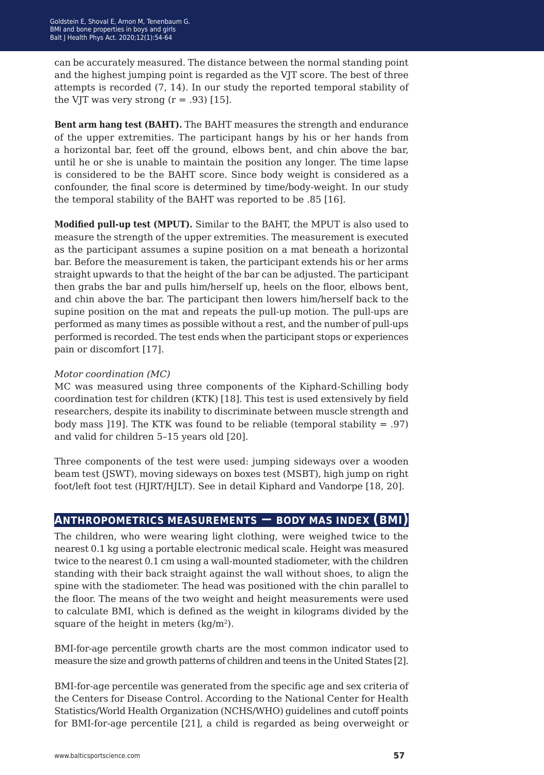can be accurately measured. The distance between the normal standing point and the highest jumping point is regarded as the VJT score. The best of three attempts is recorded (7, 14). In our study the reported temporal stability of the VJT was very strong  $(r = .93)$  [15].

**Bent arm hang test (BAHT).** The BAHT measures the strength and endurance of the upper extremities. The participant hangs by his or her hands from a horizontal bar, feet off the ground, elbows bent, and chin above the bar, until he or she is unable to maintain the position any longer. The time lapse is considered to be the BAHT score. Since body weight is considered as a confounder, the final score is determined by time/body-weight. In our study the temporal stability of the BAHT was reported to be .85 [16].

**Modified pull-up test (MPUT).** Similar to the BAHT, the MPUT is also used to measure the strength of the upper extremities. The measurement is executed as the participant assumes a supine position on a mat beneath a horizontal bar. Before the measurement is taken, the participant extends his or her arms straight upwards to that the height of the bar can be adjusted. The participant then grabs the bar and pulls him/herself up, heels on the floor, elbows bent, and chin above the bar. The participant then lowers him/herself back to the supine position on the mat and repeats the pull-up motion. The pull-ups are performed as many times as possible without a rest, and the number of pull-ups performed is recorded. The test ends when the participant stops or experiences pain or discomfort [17].

#### *Motor coordination (MC)*

MC was measured using three components of the Kiphard-Schilling body coordination test for children (KTK) [18]. This test is used extensively by field researchers, despite its inability to discriminate between muscle strength and body mass [19]. The KTK was found to be reliable (temporal stability  $= .97$ ) and valid for children 5–15 years old [20].

Three components of the test were used: jumping sideways over a wooden beam test (JSWT), moving sideways on boxes test (MSBT), high jump on right foot/left foot test (HJRT/HJLT). See in detail Kiphard and Vandorpe [18, 20].

## **anthropometrics measurements − body mas index (bmi)**

The children, who were wearing light clothing, were weighed twice to the nearest 0.1 kg using a portable electronic medical scale. Height was measured twice to the nearest 0.1 cm using a wall-mounted stadiometer, with the children standing with their back straight against the wall without shoes, to align the spine with the stadiometer. The head was positioned with the chin parallel to the floor. The means of the two weight and height measurements were used to calculate BMI, which is defined as the weight in kilograms divided by the square of the height in meters  $\frac{\text{kg}}{m^2}$ .

BMI-for-age percentile growth charts are the most common indicator used to measure the size and growth patterns of children and teens in the United States [2].

BMI-for-age percentile was generated from the specific age and sex criteria of the Centers for Disease Control. According to the National Center for Health Statistics/World Health Organization (NCHS/WHO) guidelines and cutoff points for BMI-for-age percentile [21], a child is regarded as being overweight or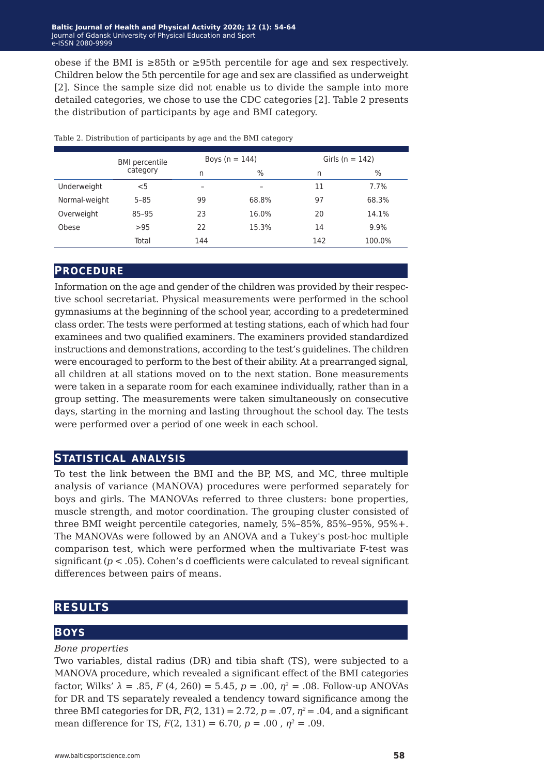obese if the BMI is ≥85th or ≥95th percentile for age and sex respectively. Children below the 5th percentile for age and sex are classified as underweight [2]. Since the sample size did not enable us to divide the sample into more detailed categories, we chose to use the CDC categories [2]. Table 2 presents the distribution of participants by age and BMI category.

|               | <b>BMI</b> percentile |     | Boys ( $n = 144$ ) | Girls ( $n = 142$ ) |        |  |
|---------------|-----------------------|-----|--------------------|---------------------|--------|--|
|               | category              | n   | $\%$               | n                   | $\%$   |  |
| Underweight   | $<$ 5                 | -   |                    | 11                  | 7.7%   |  |
| Normal-weight | $5 - 85$              | 99  | 68.8%              | 97                  | 68.3%  |  |
| Overweight    | 85-95                 | 23  | 16.0%              | 20                  | 14.1%  |  |
| Obese         | >95                   | 22  | 15.3%              | 14                  | 9.9%   |  |
|               | Total                 | 144 |                    | 142                 | 100.0% |  |

Table 2. Distribution of participants by age and the BMI category

### **procedure**

Information on the age and gender of the children was provided by their respective school secretariat. Physical measurements were performed in the school gymnasiums at the beginning of the school year, according to a predetermined class order. The tests were performed at testing stations, each of which had four examinees and two qualified examiners. The examiners provided standardized instructions and demonstrations, according to the test's guidelines. The children were encouraged to perform to the best of their ability. At a prearranged signal, all children at all stations moved on to the next station. Bone measurements were taken in a separate room for each examinee individually, rather than in a group setting. The measurements were taken simultaneously on consecutive days, starting in the morning and lasting throughout the school day. The tests were performed over a period of one week in each school.

## **statistical analysis**

To test the link between the BMI and the BP, MS, and MC, three multiple analysis of variance (MANOVA) procedures were performed separately for boys and girls. The MANOVAs referred to three clusters: bone properties, muscle strength, and motor coordination. The grouping cluster consisted of three BMI weight percentile categories, namely, 5%–85%, 85%–95%, 95%+. The MANOVAs were followed by an ANOVA and a Tukey's post-hoc multiple comparison test, which were performed when the multivariate F-test was significant  $(p < .05)$ . Cohen's d coefficients were calculated to reveal significant differences between pairs of means.

## **results**

## **BOYS**

### *Bone properties*

Two variables, distal radius (DR) and tibia shaft (TS), were subjected to a MANOVA procedure, which revealed a significant effect of the BMI categories factor, Wilks' *λ* = .85, *F* (4, 260) = 5.45, *p* = .00, *η<sup>2</sup>* = .08. Follow-up ANOVAs for DR and TS separately revealed a tendency toward significance among the three BMI categories for DR,  $F(2, 131) = 2.72$ ,  $p = .07$ ,  $p^2 = .04$ , and a significant mean difference for TS,  $F(2, 131) = 6.70$ ,  $p = .00$ ,  $\eta^2 = .09$ .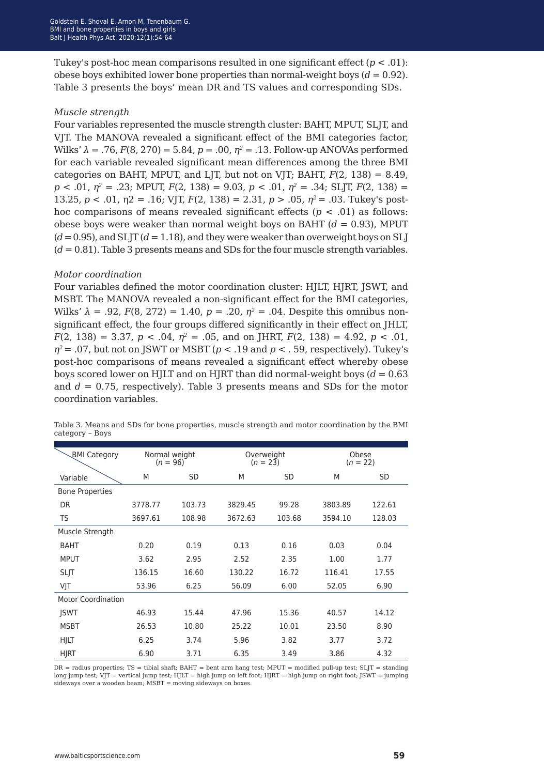Tukey's post-hoc mean comparisons resulted in one significant effect  $(p < .01)$ : obese boys exhibited lower bone properties than normal-weight boys  $(d = 0.92)$ . Table 3 presents the boys' mean DR and TS values and corresponding SDs.

#### *Muscle strength*

Four variables represented the muscle strength cluster: BAHT, MPUT, SLJT, and VJT. The MANOVA revealed a significant effect of the BMI categories factor, Wilks' *λ* = .76, *F*(8, 270) = 5.84, *p* = .00, *η<sup>2</sup>* = .13. Follow-up ANOVAs performed for each variable revealed significant mean differences among the three BMI categories on BAHT, MPUT, and LJT, but not on VJT; BAHT,  $F(2, 138) = 8.49$ , *p* < .01, *η<sup>2</sup>* = .23; MPUT, *F*(2, 138) = 9.03, *p* < .01, *η<sup>2</sup>* = .34; SLJT, *F*(2, 138) = 13.25, *p* < .01, η2 = .16; VJT, *F*(2, 138) = 2.31, *p* > .05, *η2* = .03. Tukey's posthoc comparisons of means revealed significant effects ( $p < .01$ ) as follows: obese boys were weaker than normal weight boys on BAHT (*d* = 0.93), MPUT  $(d = 0.95)$ , and SLIT  $(d = 1.18)$ , and they were weaker than overweight boys on SLI (*d* = 0.81). Table 3 presents means and SDs for the four muscle strength variables.

#### *Motor coordination*

Four variables defined the motor coordination cluster: HJLT, HJRT, JSWT, and MSBT. The MANOVA revealed a non-significant effect for the BMI categories, Wilks'  $λ = .92, F(8, 272) = 1.40, p = .20, η<sup>2</sup> = .04. Despite this omnibus non$ significant effect, the four groups differed significantly in their effect on JHLT,  $F(2, 138) = 3.37$ ,  $p < .04$ ,  $\eta^2 = .05$ , and on JHRT,  $F(2, 138) = 4.92$ ,  $p < .01$ ,  $\eta^2$  = .07, but not on JSWT or MSBT ( $p$  < .19 and  $p$  < .59, respectively). Tukey's post-hoc comparisons of means revealed a significant effect whereby obese boys scored lower on HJLT and on HJRT than did normal-weight boys  $(d = 0.63)$ and  $d = 0.75$ , respectively). Table 3 presents means and SDs for the motor coordination variables.

| <b>BMI Category</b>       |         | Normal weight<br>$(n = 96)$ |         | Overweight<br>$(n = 23)$ |         | Obese<br>$(n = 22)$ |  |  |
|---------------------------|---------|-----------------------------|---------|--------------------------|---------|---------------------|--|--|
| Variable                  | M       | <b>SD</b>                   | M       | <b>SD</b>                | M       | <b>SD</b>           |  |  |
| <b>Bone Properties</b>    |         |                             |         |                          |         |                     |  |  |
| <b>DR</b>                 | 3778.77 | 103.73                      | 3829.45 | 99.28                    | 3803.89 | 122.61              |  |  |
| <b>TS</b>                 | 3697.61 | 108.98                      | 3672.63 | 103.68                   | 3594.10 | 128.03              |  |  |
| Muscle Strength           |         |                             |         |                          |         |                     |  |  |
| <b>BAHT</b>               | 0.20    | 0.19                        | 0.13    | 0.16                     | 0.03    | 0.04                |  |  |
| <b>MPUT</b>               | 3.62    | 2.95                        | 2.52    | 2.35                     | 1.00    | 1.77                |  |  |
| <b>SLJT</b>               | 136.15  | 16.60                       | 130.22  | 16.72                    | 116.41  | 17.55               |  |  |
| VJT                       | 53.96   | 6.25                        | 56.09   | 6.00                     | 52.05   | 6.90                |  |  |
| <b>Motor Coordination</b> |         |                             |         |                          |         |                     |  |  |
| <b>ISWT</b>               | 46.93   | 15.44                       | 47.96   | 15.36                    | 40.57   | 14.12               |  |  |
| <b>MSBT</b>               | 26.53   | 10.80                       | 25.22   | 10.01                    | 23.50   | 8.90                |  |  |
| <b>HJLT</b>               | 6.25    | 3.74                        | 5.96    | 3.82                     | 3.77    | 3.72                |  |  |
| <b>HJRT</b>               | 6.90    | 3.71                        | 6.35    | 3.49                     | 3.86    | 4.32                |  |  |

Table 3. Means and SDs for bone properties, muscle strength and motor coordination by the BMI category – Boys

DR = radius properties; TS = tibial shaft; BAHT = bent arm hang test; MPUT = modified pull-up test; SLJT = standing long jump test; VJT = vertical jump test; HJLT = high jump on left foot; HJRT = high jump on right foot; JSWT = jumping sideways over a wooden beam; MSBT = moving sideways on boxes.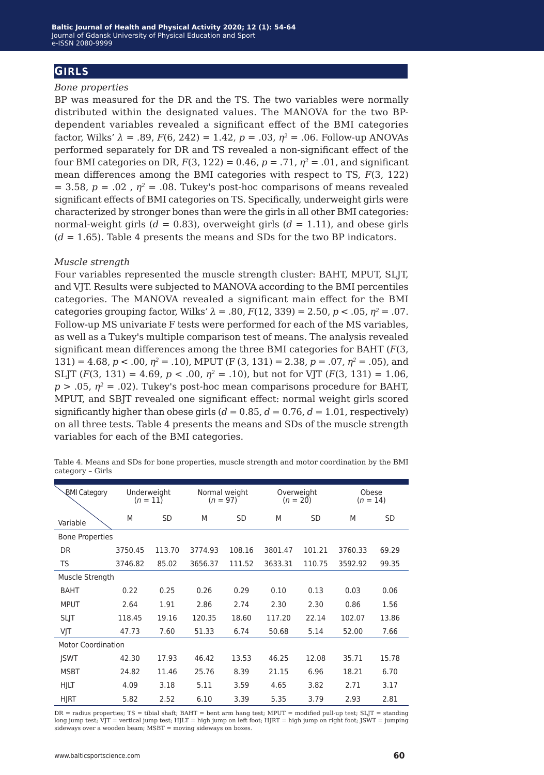## **girls**

#### *Bone properties*

BP was measured for the DR and the TS. The two variables were normally distributed within the designated values. The MANOVA for the two BPdependent variables revealed a significant effect of the BMI categories factor, Wilks' *λ* = .89, *F*(6, 242) = 1.42, *p* = .03, *η<sup>2</sup>* = .06. Follow-up ANOVAs performed separately for DR and TS revealed a non-significant effect of the four BMI categories on DR,  $F(3, 122) = 0.46$ ,  $p = .71$ ,  $n^2 = .01$ , and significant mean differences among the BMI categories with respect to TS, *F*(3, 122)  $= 3.58$ ,  $p = .02$ ,  $\eta^2 = .08$ . Tukey's post-hoc comparisons of means revealed significant effects of BMI categories on TS. Specifically, underweight girls were characterized by stronger bones than were the girls in all other BMI categories: normal-weight girls  $(d = 0.83)$ , overweight girls  $(d = 1.11)$ , and obese girls  $(d = 1.65)$ . Table 4 presents the means and SDs for the two BP indicators.

#### *Muscle strength*

Four variables represented the muscle strength cluster: BAHT, MPUT, SLJT, and VJT. Results were subjected to MANOVA according to the BMI percentiles categories. The MANOVA revealed a significant main effect for the BMI categories grouping factor, Wilks'  $λ = .80$ ,  $F(12, 339) = 2.50$ ,  $p < .05$ ,  $η<sup>2</sup> = .07$ . Follow-up MS univariate F tests were performed for each of the MS variables, as well as a Tukey's multiple comparison test of means. The analysis revealed significant mean differences among the three BMI categories for BAHT (*F*(3, 131) = 4.68, *p* < .00, *η<sup>2</sup>* = .10), MPUT (F (3, 131) = 2.38, *p* = .07, *η<sup>2</sup>* = .05), and SLJT  $(F(3, 131) = 4.69, p < .00, \eta^2 = .10)$ , but not for VJT  $(F(3, 131) = 1.06,$  $p > .05$ ,  $\eta^2 = .02$ ). Tukey's post-hoc mean comparisons procedure for BAHT, MPUT, and SBJT revealed one significant effect: normal weight girls scored significantly higher than obese girls  $(d = 0.85, d = 0.76, d = 1.01$ , respectively) on all three tests. Table 4 presents the means and SDs of the muscle strength variables for each of the BMI categories.

| <b>BMI Category</b>       | Underweight<br>$(n = 11)$ |           | Normal weight<br>$(n = 97)$ |        | Overweight<br>$(n = 20)$ |           | Obese<br>$(n = 14)$ |           |
|---------------------------|---------------------------|-----------|-----------------------------|--------|--------------------------|-----------|---------------------|-----------|
| Variable                  | M                         | <b>SD</b> | M                           | SD     | M                        | <b>SD</b> | M                   | <b>SD</b> |
| <b>Bone Properties</b>    |                           |           |                             |        |                          |           |                     |           |
| DR                        | 3750.45                   | 113.70    | 3774.93                     | 108.16 | 3801.47                  | 101.21    | 3760.33             | 69.29     |
| TS                        | 3746.82                   | 85.02     | 3656.37                     | 111.52 | 3633.31                  | 110.75    | 3592.92             | 99.35     |
| Muscle Strength           |                           |           |                             |        |                          |           |                     |           |
| <b>BAHT</b>               | 0.22                      | 0.25      | 0.26                        | 0.29   | 0.10                     | 0.13      | 0.03                | 0.06      |
| <b>MPUT</b>               | 2.64                      | 1.91      | 2.86                        | 2.74   | 2.30                     | 2.30      | 0.86                | 1.56      |
| <b>SLIT</b>               | 118.45                    | 19.16     | 120.35                      | 18.60  | 117.20                   | 22.14     | 102.07              | 13.86     |
| VJT                       | 47.73                     | 7.60      | 51.33                       | 6.74   | 50.68                    | 5.14      | 52.00               | 7.66      |
| <b>Motor Coordination</b> |                           |           |                             |        |                          |           |                     |           |
| <b>JSWT</b>               | 42.30                     | 17.93     | 46.42                       | 13.53  | 46.25                    | 12.08     | 35.71               | 15.78     |
| <b>MSBT</b>               | 24.82                     | 11.46     | 25.76                       | 8.39   | 21.15                    | 6.96      | 18.21               | 6.70      |
| HJLT                      | 4.09                      | 3.18      | 5.11                        | 3.59   | 4.65                     | 3.82      | 2.71                | 3.17      |
| <b>HJRT</b>               | 5.82                      | 2.52      | 6.10                        | 3.39   | 5.35                     | 3.79      | 2.93                | 2.81      |

Table 4. Means and SDs for bone properties, muscle strength and motor coordination by the BMI category – Girls

DR = radius properties; TS = tibial shaft; BAHT = bent arm hang test; MPUT = modified pull-up test; SLJT = standing long jump test; VJT = vertical jump test; HJLT = high jump on left foot; HJRT = high jump on right foot; JSWT = jumping sideways over a wooden beam: MSBT = moving sideways on boxes.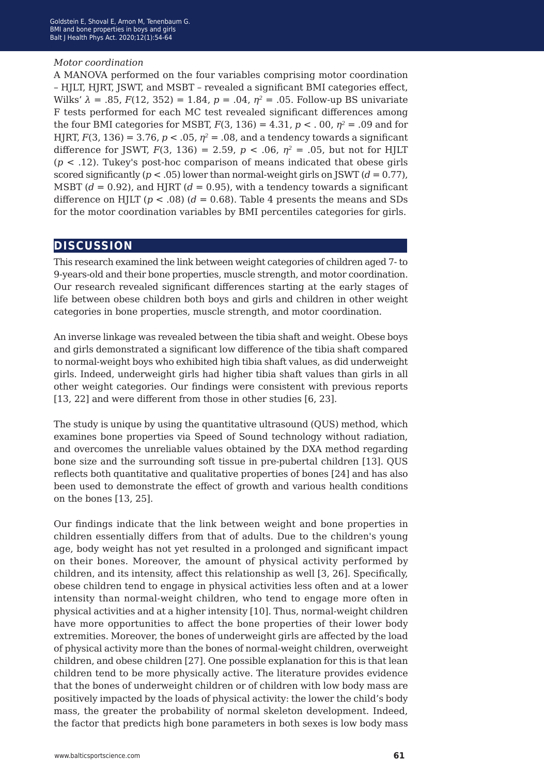#### *Motor coordination*

A MANOVA performed on the four variables comprising motor coordination – HJLT, HJRT, JSWT, and MSBT – revealed a significant BMI categories effect, Wilks' *λ* = .85, *F*(12, 352) = 1.84, *p* = .04, *η<sup>2</sup>* = .05. Follow-up BS univariate F tests performed for each MC test revealed significant differences among the four BMI categories for MSBT,  $F(3, 136) = 4.31$ ,  $p < .00$ ,  $n^2 = .09$  and for HJRT,  $F(3, 136) = 3.76$ ,  $p < .05$ ,  $\eta^2 = .08$ , and a tendency towards a significant difference for JSWT,  $F(3, 136) = 2.59$ ,  $p < .06$ ,  $n^2 = .05$ , but not for HJLT (*p* < .12). Tukey's post-hoc comparison of means indicated that obese girls scored significantly (*p* < .05) lower than normal-weight girls on JSWT (*d* = 0.77), MSBT  $(d = 0.92)$ , and HJRT  $(d = 0.95)$ , with a tendency towards a significant difference on HJLT ( $p < .08$ ) ( $d = 0.68$ ). Table 4 presents the means and SDs for the motor coordination variables by BMI percentiles categories for girls.

## **discussion**

This research examined the link between weight categories of children aged 7- to 9-years-old and their bone properties, muscle strength, and motor coordination. Our research revealed significant differences starting at the early stages of life between obese children both boys and girls and children in other weight categories in bone properties, muscle strength, and motor coordination.

An inverse linkage was revealed between the tibia shaft and weight. Obese boys and girls demonstrated a significant low difference of the tibia shaft compared to normal-weight boys who exhibited high tibia shaft values, as did underweight girls. Indeed, underweight girls had higher tibia shaft values than girls in all other weight categories. Our findings were consistent with previous reports [13, 22] and were different from those in other studies [6, 23].

The study is unique by using the quantitative ultrasound (QUS) method, which examines bone properties via Speed of Sound technology without radiation, and overcomes the unreliable values obtained by the DXA method regarding bone size and the surrounding soft tissue in pre-pubertal children [13]. QUS reflects both quantitative and qualitative properties of bones [24] and has also been used to demonstrate the effect of growth and various health conditions on the bones [13, 25].

Our findings indicate that the link between weight and bone properties in children essentially differs from that of adults. Due to the children's young age, body weight has not yet resulted in a prolonged and significant impact on their bones. Moreover, the amount of physical activity performed by children, and its intensity, affect this relationship as well [3, 26]. Specifically, obese children tend to engage in physical activities less often and at a lower intensity than normal-weight children, who tend to engage more often in physical activities and at a higher intensity [10]. Thus, normal-weight children have more opportunities to affect the bone properties of their lower body extremities. Moreover, the bones of underweight girls are affected by the load of physical activity more than the bones of normal-weight children, overweight children, and obese children [27]. One possible explanation for this is that lean children tend to be more physically active. The literature provides evidence that the bones of underweight children or of children with low body mass are positively impacted by the loads of physical activity: the lower the child's body mass, the greater the probability of normal skeleton development. Indeed, the factor that predicts high bone parameters in both sexes is low body mass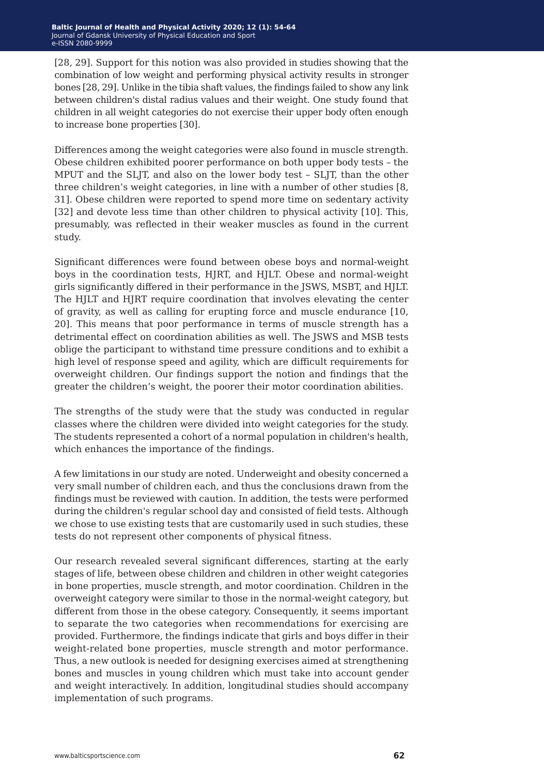[28, 29]. Support for this notion was also provided in studies showing that the combination of low weight and performing physical activity results in stronger bones [28, 29]. Unlike in the tibia shaft values, the findings failed to show any link between children's distal radius values and their weight. One study found that children in all weight categories do not exercise their upper body often enough to increase bone properties [30].

Differences among the weight categories were also found in muscle strength. Obese children exhibited poorer performance on both upper body tests – the MPUT and the SLJT, and also on the lower body test – SLJT, than the other three children's weight categories, in line with a number of other studies [8, 31]. Obese children were reported to spend more time on sedentary activity [32] and devote less time than other children to physical activity [10]. This, presumably, was reflected in their weaker muscles as found in the current study.

Significant differences were found between obese boys and normal-weight boys in the coordination tests, HJRT, and HJLT. Obese and normal-weight girls significantly differed in their performance in the JSWS, MSBT, and HJLT. The HJLT and HJRT require coordination that involves elevating the center of gravity, as well as calling for erupting force and muscle endurance [10, 20]. This means that poor performance in terms of muscle strength has a detrimental effect on coordination abilities as well. The JSWS and MSB tests oblige the participant to withstand time pressure conditions and to exhibit a high level of response speed and agility, which are difficult requirements for overweight children. Our findings support the notion and findings that the greater the children's weight, the poorer their motor coordination abilities.

The strengths of the study were that the study was conducted in regular classes where the children were divided into weight categories for the study. The students represented a cohort of a normal population in children's health, which enhances the importance of the findings.

A few limitations in our study are noted. Underweight and obesity concerned a very small number of children each, and thus the conclusions drawn from the findings must be reviewed with caution. In addition, the tests were performed during the children's regular school day and consisted of field tests. Although we chose to use existing tests that are customarily used in such studies, these tests do not represent other components of physical fitness.

Our research revealed several significant differences, starting at the early stages of life, between obese children and children in other weight categories in bone properties, muscle strength, and motor coordination. Children in the overweight category were similar to those in the normal-weight category, but different from those in the obese category. Consequently, it seems important to separate the two categories when recommendations for exercising are provided. Furthermore, the findings indicate that girls and boys differ in their weight-related bone properties, muscle strength and motor performance. Thus, a new outlook is needed for designing exercises aimed at strengthening bones and muscles in young children which must take into account gender and weight interactively. In addition, longitudinal studies should accompany implementation of such programs.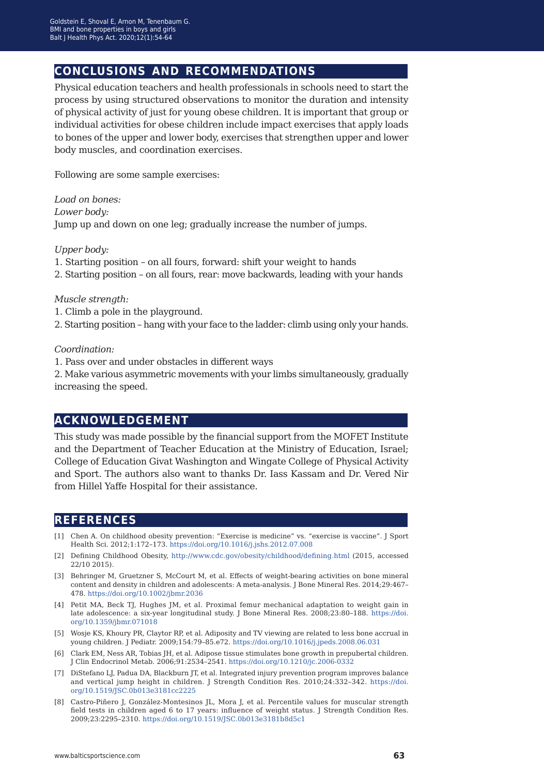## **conclusions and recommendations**

Physical education teachers and health professionals in schools need to start the process by using structured observations to monitor the duration and intensity of physical activity of just for young obese children. It is important that group or individual activities for obese children include impact exercises that apply loads to bones of the upper and lower body, exercises that strengthen upper and lower body muscles, and coordination exercises.

Following are some sample exercises:

*Load on bones: Lower body:*  Jump up and down on one leg; gradually increase the number of jumps.

*Upper body:* 

- 1. Starting position on all fours, forward: shift your weight to hands
- 2. Starting position on all fours, rear: move backwards, leading with your hands

#### *Muscle strength:*

- 1. Climb a pole in the playground.
- 2. Starting position hang with your face to the ladder: climb using only your hands.

*Coordination:*

1. Pass over and under obstacles in different ways

2. Make various asymmetric movements with your limbs simultaneously, gradually increasing the speed.

## **acknowledgement**

This study was made possible by the financial support from the MOFET Institute and the Department of Teacher Education at the Ministry of Education, Israel; College of Education Givat Washington and Wingate College of Physical Activity and Sport. The authors also want to thanks Dr. Iass Kassam and Dr. Vered Nir from Hillel Yaffe Hospital for their assistance.

## **references**

- [1] Chen A. On childhood obesity prevention: "Exercise is medicine" vs. "exercise is vaccine". J Sport Health Sci. 2012;1:172–173. <https://doi.org/10.1016/j.jshs.2012.07.008>
- [2] Defining Childhood Obesity, <http://www.cdc.gov/obesity/childhood/defining.html> (2015, accessed 22/10 2015).
- [3] Behringer M, Gruetzner S, McCourt M, et al. Effects of weight-bearing activities on bone mineral content and density in children and adolescents: A meta‐analysis. J Bone Mineral Res. 2014;29:467– 478. <https://doi.org/10.1002/jbmr.2036>
- [4] Petit MA, Beck TJ, Hughes JM, et al. Proximal femur mechanical adaptation to weight gain in late adolescence: a six-year longitudinal study. J Bone Mineral Res. 2008;23:80-188. [https://doi.](https://doi.org/10.1359/jbmr.071018) [org/10.1359/jbmr.071018](https://doi.org/10.1359/jbmr.071018)
- [5] Wosje KS, Khoury PR, Claytor RP, et al. Adiposity and TV viewing are related to less bone accrual in young children. J Pediatr. 2009;154:79–85.e72. <https://doi.org/10.1016/j.jpeds.2008.06.031>
- [6] Clark EM, Ness AR, Tobias JH, et al. Adipose tissue stimulates bone growth in prepubertal children. J Clin Endocrinol Metab. 2006;91:2534–2541. <https://doi.org/10.1210/jc.2006-0332>
- [7] DiStefano LJ, Padua DA, Blackburn JT, et al. Integrated injury prevention program improves balance and vertical jump height in children. J Strength Condition Res. 2010;24:332–342. [https://doi.](https://doi.org/10.1519/JSC.0b013e3181cc2225) [org/10.1519/JSC.0b013e3181cc2225](https://doi.org/10.1519/JSC.0b013e3181cc2225)
- [8] Castro-Piñero J, González-Montesinos JL, Mora J, et al. Percentile values for muscular strength field tests in children aged 6 to 17 years: influence of weight status. J Strength Condition Res. 2009;23:2295–2310. <https://doi.org/10.1519/JSC.0b013e3181b8d5c1>